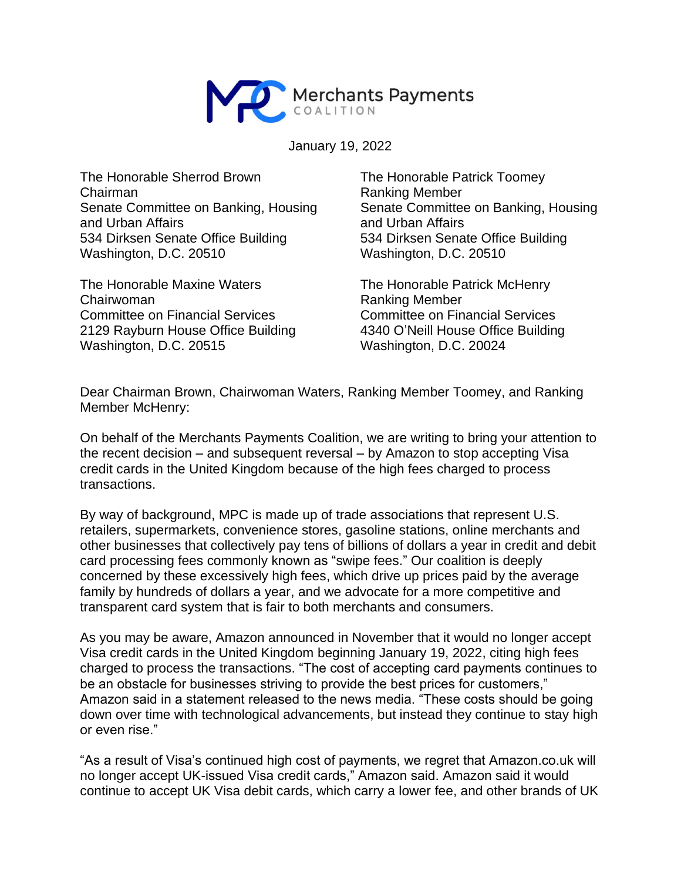

January 19, 2022

The Honorable Sherrod Brown Chairman Senate Committee on Banking, Housing and Urban Affairs 534 Dirksen Senate Office Building Washington, D.C. 20510

The Honorable Maxine Waters Chairwoman Committee on Financial Services 2129 Rayburn House Office Building Washington, D.C. 20515

The Honorable Patrick Toomey Ranking Member Senate Committee on Banking, Housing and Urban Affairs 534 Dirksen Senate Office Building Washington, D.C. 20510

The Honorable Patrick McHenry Ranking Member Committee on Financial Services 4340 O'Neill House Office Building Washington, D.C. 20024

Dear Chairman Brown, Chairwoman Waters, Ranking Member Toomey, and Ranking Member McHenry:

On behalf of the Merchants Payments Coalition, we are writing to bring your attention to the recent decision – and subsequent reversal – by Amazon to stop accepting Visa credit cards in the United Kingdom because of the high fees charged to process transactions.

By way of background, MPC is made up of trade associations that represent U.S. retailers, supermarkets, convenience stores, gasoline stations, online merchants and other businesses that collectively pay tens of billions of dollars a year in credit and debit card processing fees commonly known as "swipe fees." Our coalition is deeply concerned by these excessively high fees, which drive up prices paid by the average family by hundreds of dollars a year, and we advocate for a more competitive and transparent card system that is fair to both merchants and consumers.

As you may be aware, Amazon announced in November that it would no longer accept Visa credit cards in the United Kingdom beginning January 19, 2022, citing high fees charged to process the transactions. "The cost of accepting card payments continues to be an obstacle for businesses striving to provide the best prices for customers," Amazon said in a statement released to the news media. "These costs should be going down over time with technological advancements, but instead they continue to stay high or even rise."

"As a result of Visa's continued high cost of payments, we regret that Amazon.co.uk will no longer accept UK-issued Visa credit cards," Amazon said. Amazon said it would continue to accept UK Visa debit cards, which carry a lower fee, and other brands of UK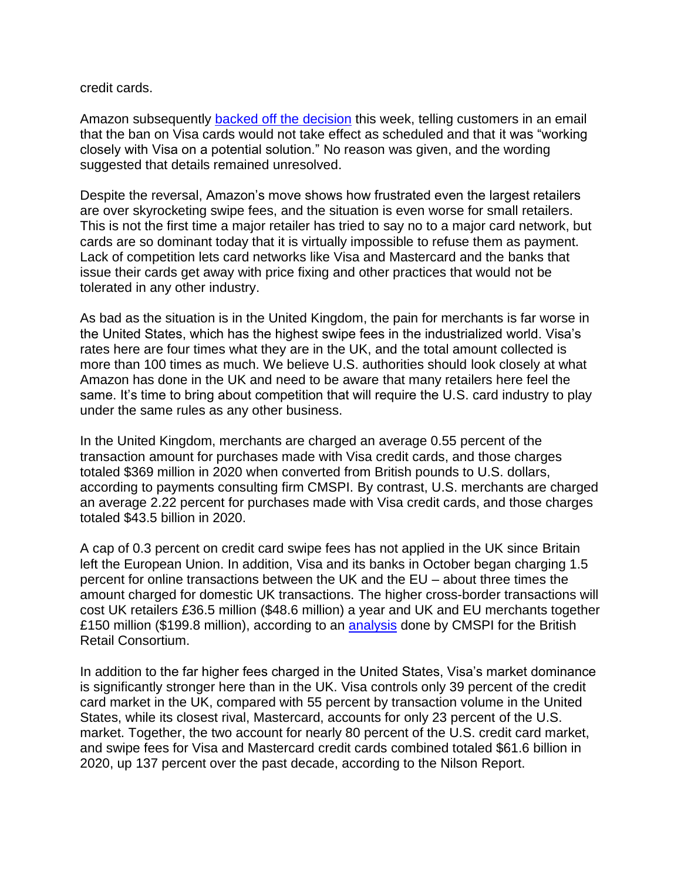## credit cards.

Amazon subsequently [backed off the decision](https://www.bloomberg.com/news/articles/2022-01-17/amazon-to-reverse-proposed-u-k-ban-on-visa-credit-cards?sref=0IrjtUDf) this week, telling customers in an email that the ban on Visa cards would not take effect as scheduled and that it was "working closely with Visa on a potential solution." No reason was given, and the wording suggested that details remained unresolved.

Despite the reversal, Amazon's move shows how frustrated even the largest retailers are over skyrocketing swipe fees, and the situation is even worse for small retailers. This is not the first time a major retailer has tried to say no to a major card network, but cards are so dominant today that it is virtually impossible to refuse them as payment. Lack of competition lets card networks like Visa and Mastercard and the banks that issue their cards get away with price fixing and other practices that would not be tolerated in any other industry.

As bad as the situation is in the United Kingdom, the pain for merchants is far worse in the United States, which has the highest swipe fees in the industrialized world. Visa's rates here are four times what they are in the UK, and the total amount collected is more than 100 times as much. We believe U.S. authorities should look closely at what Amazon has done in the UK and need to be aware that many retailers here feel the same. It's time to bring about competition that will require the U.S. card industry to play under the same rules as any other business.

In the United Kingdom, merchants are charged an average 0.55 percent of the transaction amount for purchases made with Visa credit cards, and those charges totaled \$369 million in 2020 when converted from British pounds to U.S. dollars, according to payments consulting firm CMSPI. By contrast, U.S. merchants are charged an average 2.22 percent for purchases made with Visa credit cards, and those charges totaled \$43.5 billion in 2020.

A cap of 0.3 percent on credit card swipe fees has not applied in the UK since Britain left the European Union. In addition, Visa and its banks in October began charging 1.5 percent for online transactions between the UK and the EU – about three times the amount charged for domestic UK transactions. The higher cross-border transactions will cost UK retailers £36.5 million (\$48.6 million) a year and UK and EU merchants together £150 million (\$199.8 million), according to an [analysis](https://brc.org.uk/news/corporate-affairs/card-costs-soar-150-million-a-year/) done by CMSPI for the British Retail Consortium.

In addition to the far higher fees charged in the United States, Visa's market dominance is significantly stronger here than in the UK. Visa controls only 39 percent of the credit card market in the UK, compared with 55 percent by transaction volume in the United States, while its closest rival, Mastercard, accounts for only 23 percent of the U.S. market. Together, the two account for nearly 80 percent of the U.S. credit card market, and swipe fees for Visa and Mastercard credit cards combined totaled \$61.6 billion in 2020, up 137 percent over the past decade, according to the Nilson Report.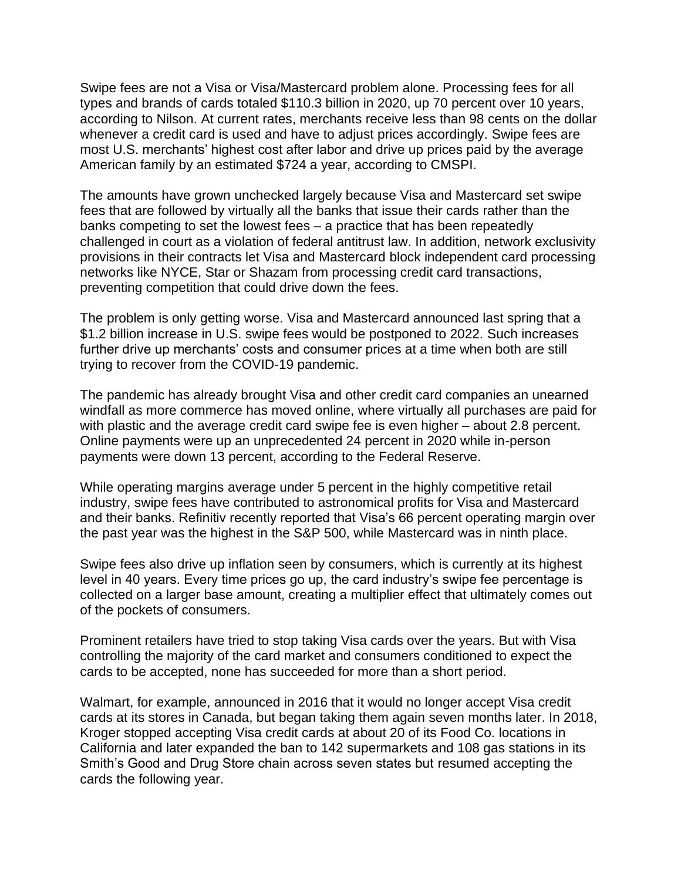Swipe fees are not a Visa or Visa/Mastercard problem alone. Processing fees for all types and brands of cards totaled \$110.3 billion in 2020, up 70 percent over 10 years, according to Nilson. At current rates, merchants receive less than 98 cents on the dollar whenever a credit card is used and have to adjust prices accordingly. Swipe fees are most U.S. merchants' highest cost after labor and drive up prices paid by the average American family by an estimated \$724 a year, according to CMSPI.

The amounts have grown unchecked largely because Visa and Mastercard set swipe fees that are followed by virtually all the banks that issue their cards rather than the banks competing to set the lowest fees – a practice that has been repeatedly challenged in court as a violation of federal antitrust law. In addition, network exclusivity provisions in their contracts let Visa and Mastercard block independent card processing networks like NYCE, Star or Shazam from processing credit card transactions, preventing competition that could drive down the fees.

The problem is only getting worse. Visa and Mastercard announced last spring that a \$1.2 billion increase in U.S. swipe fees would be postponed to 2022. Such increases further drive up merchants' costs and consumer prices at a time when both are still trying to recover from the COVID-19 pandemic.

The pandemic has already brought Visa and other credit card companies an unearned windfall as more commerce has moved online, where virtually all purchases are paid for with plastic and the average credit card swipe fee is even higher – about 2.8 percent. Online payments were up an unprecedented 24 percent in 2020 while in-person payments were down 13 percent, according to the Federal Reserve.

While operating margins average under 5 percent in the highly competitive retail industry, swipe fees have contributed to astronomical profits for Visa and Mastercard and their banks. Refinitiv recently reported that Visa's 66 percent operating margin over the past year was the highest in the S&P 500, while Mastercard was in ninth place.

Swipe fees also drive up inflation seen by consumers, which is currently at its highest level in 40 years. Every time prices go up, the card industry's swipe fee percentage is collected on a larger base amount, creating a multiplier effect that ultimately comes out of the pockets of consumers.

Prominent retailers have tried to stop taking Visa cards over the years. But with Visa controlling the majority of the card market and consumers conditioned to expect the cards to be accepted, none has succeeded for more than a short period.

Walmart, for example, announced in 2016 that it would no longer accept Visa credit cards at its stores in Canada, but began taking them again seven months later. In 2018, Kroger stopped accepting Visa credit cards at about 20 of its Food Co. locations in California and later expanded the ban to 142 supermarkets and 108 gas stations in its Smith's Good and Drug Store chain across seven states but resumed accepting the cards the following year.